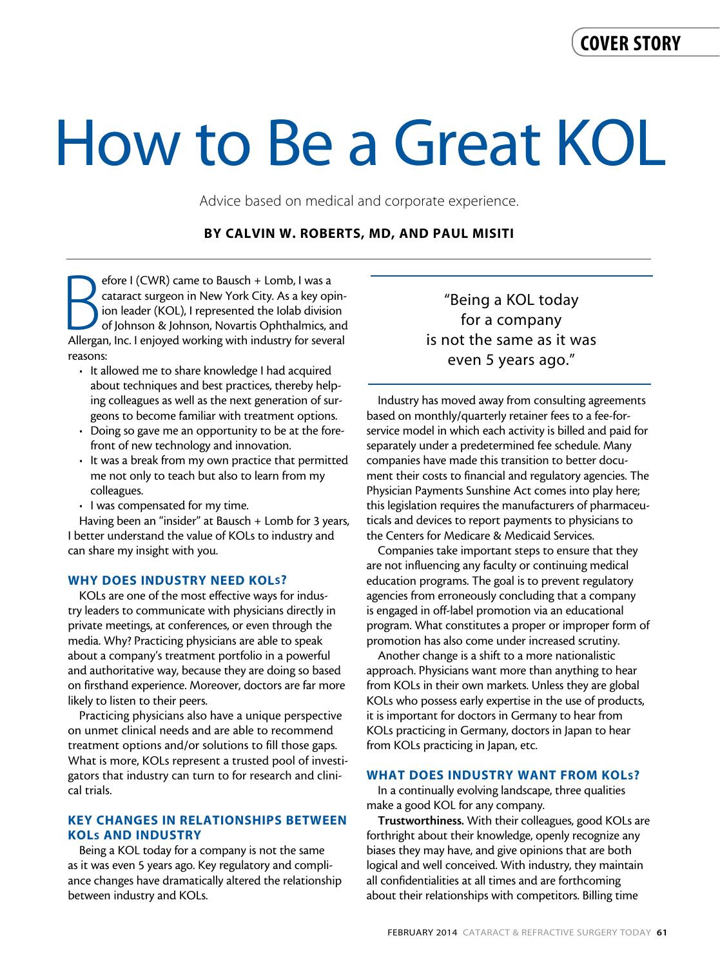# How to Be a Great KOL

Advice based on medical and corporate experience.

# By Calvin W. Roberts, MD, and Paul Misiti

efore I (CWR) came to Bausch + Lomb, I was a<br>cataract surgeon in New York City. As a key opin-<br>ion leader (KOL), I represented the Iolab division<br>of Johnson & Johnson, Novartis Ophthalmics, and<br>Allergan, Inc. I enjoyed wor efore I (CWR) came to Bausch + Lomb, I was a cataract surgeon in New York City. As a key opinion leader (KOL), I represented the Iolab division of Johnson & Johnson, Novartis Ophthalmics, and reasons:

- It allowed me to share knowledge I had acquired about techniques and best practices, thereby helping colleagues as well as the next generation of surgeons to become familiar with treatment options.
- Doing so gave me an opportunity to be at the forefront of new technology and innovation.
- It was a break from my own practice that permitted me not only to teach but also to learn from my colleagues.
- I was compensated for my time.

Having been an "insider" at Bausch + Lomb for 3 years, I better understand the value of KOLs to industry and can share my insight with you.

#### WHY DOES INDUSTRY NEED KOLS?

KOLs are one of the most effective ways for industry leaders to communicate with physicians directly in private meetings, at conferences, or even through the media. Why? Practicing physicians are able to speak about a company's treatment portfolio in a powerful and authoritative way, because they are doing so based on firsthand experience. Moreover, doctors are far more likely to listen to their peers.

Practicing physicians also have a unique perspective on unmet clinical needs and are able to recommend treatment options and/or solutions to fill those gaps. What is more, KOLs represent a trusted pool of investigators that industry can turn to for research and clinical trials.

# KEY CHANGES IN RELATIONSHIPS BETWEEN KOLs AND INDUSTRY

Being a KOL today for a company is not the same as it was even 5 years ago. Key regulatory and compliance changes have dramatically altered the relationship between industry and KOLs.

"Being a KOL today for a company is not the same as it was even 5 years ago."

Industry has moved away from consulting agreements based on monthly/quarterly retainer fees to a fee-forservice model in which each activity is billed and paid for separately under a predetermined fee schedule. Many companies have made this transition to better document their costs to financial and regulatory agencies. The Physician Payments Sunshine Act comes into play here; this legislation requires the manufacturers of pharmaceuticals and devices to report payments to physicians to the Centers for Medicare & Medicaid Services.

Companies take important steps to ensure that they are not influencing any faculty or continuing medical education programs. The goal is to prevent regulatory agencies from erroneously concluding that a company is engaged in off-label promotion via an educational program. What constitutes a proper or improper form of promotion has also come under increased scrutiny.

Another change is a shift to a more nationalistic approach. Physicians want more than anything to hear from KOLs in their own markets. Unless they are global KOLs who possess early expertise in the use of products, it is important for doctors in Germany to hear from KOLs practicing in Germany, doctors in Japan to hear from KOLs practicing in Japan, etc.

#### WHAT DOES INDUSTRY WANT FROM KOLs?

In a continually evolving landscape, three qualities make a good KOL for any company.

Trustworthiness. With their colleagues, good KOLs are forthright about their knowledge, openly recognize any biases they may have, and give opinions that are both logical and well conceived. With industry, they maintain all confidentialities at all times and are forthcoming about their relationships with competitors. Billing time